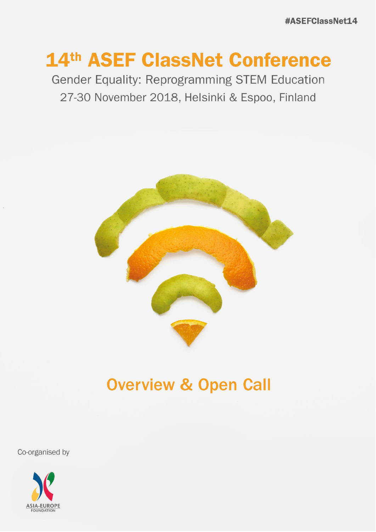# 14th ASEF ClassNet Conference

Gender Equality: Reprogramming STEM Education 27-30 November 2018, Helsinki & Espoo, Finland



## **Overview & Open Call**

Co-organised by

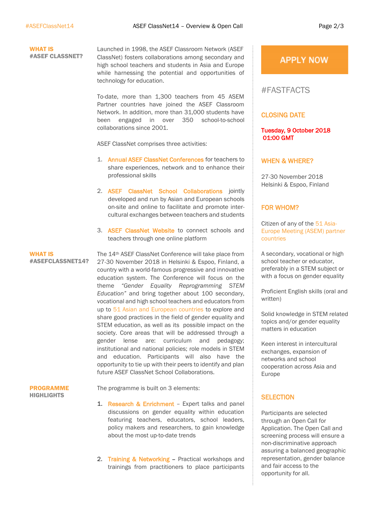#### WHAT IS #ASEF CLASSNET?

Launched in 1998, the ASEF Classroom Network (ASEF ClassNet) fosters collaborations among secondary and high school teachers and students in Asia and Europe while harnessing the potential and opportunities of technology for education.

To-date, more than 1,300 teachers from 45 ASEM Partner countries have joined the ASEF Classroom Network. In addition, more than 31,000 students have been engaged in over 350 school-to-school collaborations since 2001.

ASEF ClassNet comprises three activities:

- 1. [Annual ASEF ClassNet Conferences](http://www.asef.org/projects/themes/education/4120-14th-asef-classroom-network-conference-asefclassnet14-) for teachers to share experiences, network and to enhance their professional skills
- 2. ASEF ClassNet School Collaborations jointly developed and run by Asian and European schools on-site and online to facilitate and promote intercultural exchanges between teachers and students
- 3. ASEF ClassNet Website to connect schools and teachers through one online platform

WHAT IS #ASEFCLASSNET14?

The 14th ASEF ClassNet Conference will take place from 27-30 November 2018 in Helsinki & Espoo, Finland, a country with a world-famous progressive and innovative education system. The Conference will focus on the theme *"Gender Equality Reprogramming STEM Education"* and bring together about 100 secondary, vocational and high school teachers and educators from up to [51 Asian and European countries](https://www.aseminfoboard.org/about/partners) to explore and share good practices in the field of gender equality and STEM education, as well as its possible impact on the society. Core areas that will be addressed through a gender lense are: curriculum and pedagogy; institutional and national policies; role models in STEM and education. Participants will also have the opportunity to tie up with their peers to identify and plan future ASEF ClassNet School Collaborations.

#### PROGRAMME **HIGHLIGHTS**

The programme is built on 3 elements:

- 1. Research & Enrichment Expert talks and panel discussions on gender equality within education featuring teachers, educators, school leaders, policy makers and researchers, to gain knowledge about the most up-to-date trends
- 2. Training & Networking Practical workshops and trainings from practitioners to place participants

### **APPLY NOW**

## #FASTFACTS

#### CLOSING DATE

Tuesday, 9 October 2018 01:00 GMT

#### WHEN & WHERE?

27-30 November 2018 Helsinki & Espoo, Finland

#### FOR WHOM?

Citizen of any of the [51 Asia-](https://www.aseminfoboard.org/about/partners)[Europe Meeting \(ASEM\) partner](https://www.aseminfoboard.org/about/partners)  [countries](https://www.aseminfoboard.org/about/partners)

A secondary, vocational or high school teacher or educator, preferably in a STEM subject or with a focus on gender equality

Proficient English skills (oral and written)

Solid knowledge in STEM related topics and/or gender equality matters in education

Keen interest in intercultural exchanges, expansion of networks and school cooperation across Asia and Europe

#### **SELECTION**

Participants are selected through an Open Call for Application. The Open Call and screening process will ensure a non-discriminative approach assuring a balanced geographic representation, gender balance and fair access to the opportunity for all.